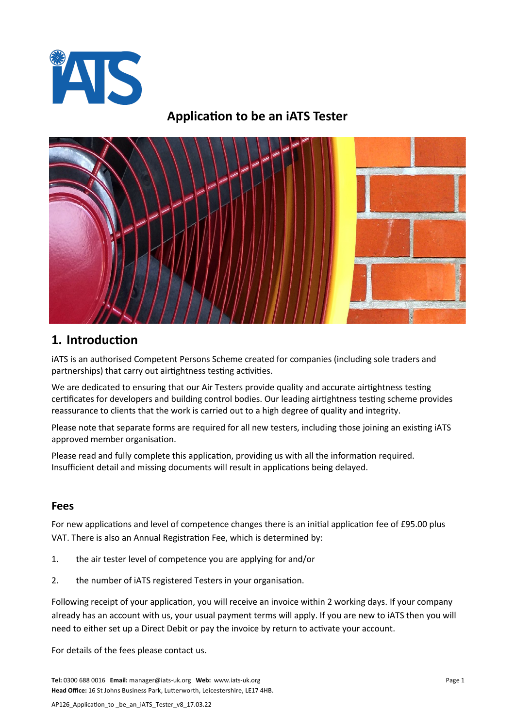

## **Application to be an iATS Tester**



## **1. Introduction**

iATS is an authorised Competent Persons Scheme created for companies (including sole traders and partnerships) that carry out airtightness testing activities.

We are dedicated to ensuring that our Air Testers provide quality and accurate airtightness testing certificates for developers and building control bodies. Our leading airtightness testing scheme provides reassurance to clients that the work is carried out to a high degree of quality and integrity.

Please note that separate forms are required for all new testers, including those joining an existing iATS approved member organisation.

Please read and fully complete this application, providing us with all the information required. Insufficient detail and missing documents will result in applications being delayed.

#### **Fees**

For new applications and level of competence changes there is an initial application fee of £95.00 plus VAT. There is also an Annual Registration Fee, which is determined by:

- 1. the air tester level of competence you are applying for and/or
- 2. the number of iATS registered Testers in your organisation.

Following receipt of your application, you will receive an invoice within 2 working days. If your company already has an account with us, your usual payment terms will apply. If you are new to iATS then you will need to either set up a Direct Debit or pay the invoice by return to activate your account.

For details of the fees please contact us.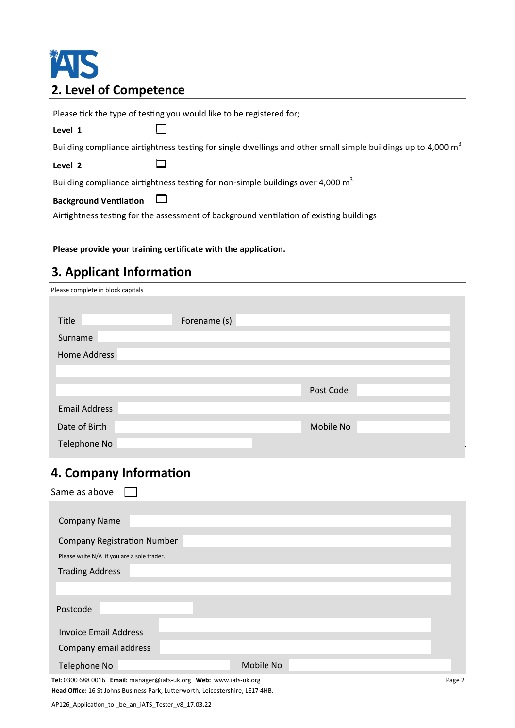# TAIS **2. Level of Competence**

Please tick the type of testing you would like to be registered for;  $\Box$ **Level 1** Building compliance airtightness testing for single dwellings and other small simple buildings up to 4,000  $m<sup>3</sup>$ П **Level 2** Building compliance airtightness testing for non-simple buildings over 4,000  $m^3$  $\Box$ **Background Ventilation** Airtightness testing for the assessment of background ventilation of existing buildings

#### **Please provide your training certificate with the application.**

## **3. Applicant Information**

| Please complete in block capitals |              |           |  |
|-----------------------------------|--------------|-----------|--|
|                                   |              |           |  |
| Title                             | Forename (s) |           |  |
| Surname                           |              |           |  |
| Home Address                      |              |           |  |
|                                   |              |           |  |
|                                   |              | Post Code |  |
| <b>Email Address</b>              |              |           |  |
| Date of Birth                     |              | Mobile No |  |
| Telephone No                      |              |           |  |

#### **4. Company Information**

| Same as above                              |
|--------------------------------------------|
|                                            |
| <b>Company Name</b>                        |
| <b>Company Registration Number</b>         |
| Please write N/A if you are a sole trader. |
| <b>Trading Address</b>                     |
|                                            |
| Postcode                                   |
| Invoice Email Address                      |
| Company email address                      |
| Mobile No<br>Telephone No                  |

**Tel:** 0300 688 0016 **Email:** manager@iats-uk.org **Web:** www.iats-uk.org **Head Office:** 16 St Johns Business Park, Lutterworth, Leicestershire, LE17 4HB.